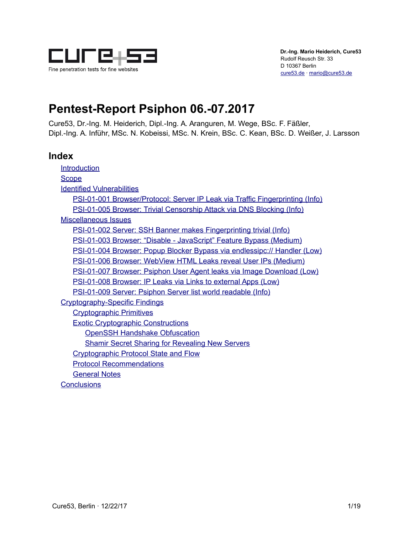

# **Pentest-Report Psiphon 06.-07.2017**

Cure53, Dr.-Ing. M. Heiderich, Dipl.-Ing. A. Aranguren, M. Wege, BSc. F. Fäßler, Dipl.-Ing. A. Inführ, MSc. N. Kobeissi, MSc. N. Krein, BSc. C. Kean, BSc. D. Weißer, J. Larsson

## **Index**

**[Introduction](#page-1-0) [Scope](#page-2-0)** [Identified Vulnerabilities](#page-3-1) [PSI-01-001 Browser/Protocol: Server IP Leak via Traffic Fingerprinting \(Info\)](#page-3-0) [PSI-01-005 Browser: Trivial Censorship Attack via DNS Blocking \(Info\)](#page-4-0) [Miscellaneous Issues](#page-7-1) [PSI-01-002 Server: SSH Banner makes Fingerprinting trivial \(Info\)](#page-7-0) [PSI-01-003 Browser: "Disable - JavaScript" Feature Bypass \(Medium\)](#page-8-0) [PSI-01-004 Browser: Popup Blocker Bypass via endlessipc:// Handler \(Low\)](#page-9-0) [PSI-01-006 Browser: WebView HTML Leaks reveal User IPs \(Medium\)](#page-10-0) [PSI-01-007 Browser: Psiphon User Agent leaks via Image Download \(Low\)](#page-12-0) [PSI-01-008 Browser: IP Leaks via Links to external Apps \(Low\)](#page-13-0) [PSI-01-009 Server: Psiphon Server list world readable \(Info\)](#page-14-0) [Cryptography-Specific Findings](#page-15-4) [Cryptographic Primitives](#page-15-3) [Exotic Cryptographic Constructions](#page-15-2) [OpenSSH Handshake Obfuscation](#page-15-1) [Shamir Secret Sharing for Revealing New Servers](#page-15-0) [Cryptographic Protocol State and Flow](#page-16-2) [Protocol Recommendations](#page-16-1) [General Notes](#page-16-0) **[Conclusions](#page-17-0)**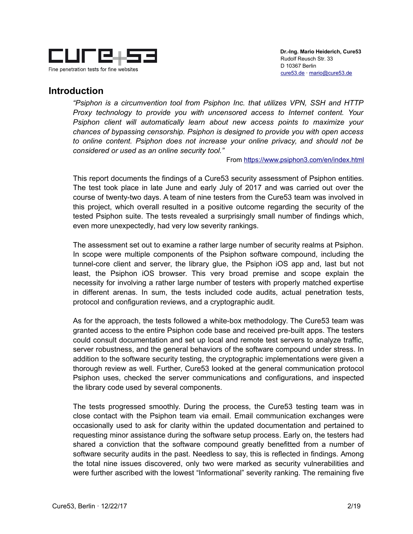

## <span id="page-1-0"></span>**Introduction**

*"Psiphon is a circumvention tool from Psiphon Inc. that utilizes VPN, SSH and HTTP Proxy technology to provide you with uncensored access to Internet content. Your Psiphon client will automatically learn about new access points to maximize your chances of bypassing censorship. Psiphon is designed to provide you with open access to online content. Psiphon does not increase your online privacy, and should not be considered or used as an online security tool."*

From<https://www.psiphon3.com/en/index.html>

This report documents the findings of a Cure53 security assessment of Psiphon entities. The test took place in late June and early July of 2017 and was carried out over the course of twenty-two days. A team of nine testers from the Cure53 team was involved in this project, which overall resulted in a positive outcome regarding the security of the tested Psiphon suite. The tests revealed a surprisingly small number of findings which, even more unexpectedly, had very low severity rankings.

The assessment set out to examine a rather large number of security realms at Psiphon. In scope were multiple components of the Psiphon software compound, including the tunnel-core client and server, the library glue, the Psiphon iOS app and, last but not least, the Psiphon iOS browser. This very broad premise and scope explain the necessity for involving a rather large number of testers with properly matched expertise in different arenas. In sum, the tests included code audits, actual penetration tests, protocol and configuration reviews, and a cryptographic audit.

As for the approach, the tests followed a white-box methodology. The Cure53 team was granted access to the entire Psiphon code base and received pre-built apps. The testers could consult documentation and set up local and remote test servers to analyze traffic, server robustness, and the general behaviors of the software compound under stress. In addition to the software security testing, the cryptographic implementations were given a thorough review as well. Further, Cure53 looked at the general communication protocol Psiphon uses, checked the server communications and configurations, and inspected the library code used by several components.

The tests progressed smoothly. During the process, the Cure53 testing team was in close contact with the Psiphon team via email. Email communication exchanges were occasionally used to ask for clarity within the updated documentation and pertained to requesting minor assistance during the software setup process. Early on, the testers had shared a conviction that the software compound greatly benefitted from a number of software security audits in the past. Needless to say, this is reflected in findings. Among the total nine issues discovered, only two were marked as security vulnerabilities and were further ascribed with the lowest "Informational" severity ranking. The remaining five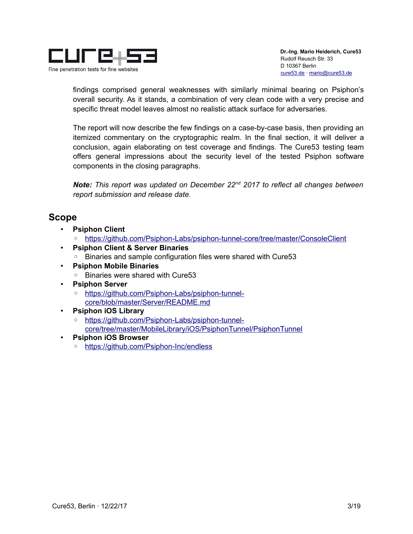

findings comprised general weaknesses with similarly minimal bearing on Psiphon's overall security. As it stands, a combination of very clean code with a very precise and specific threat model leaves almost no realistic attack surface for adversaries.

The report will now describe the few findings on a case-by-case basis, then providing an itemized commentary on the cryptographic realm. In the final section, it will deliver a conclusion, again elaborating on test coverage and findings. The Cure53 testing team offers general impressions about the security level of the tested Psiphon software components in the closing paragraphs.

*Note: This report was updated on December 22nd 2017 to reflect all changes between report submission and release date.*

## <span id="page-2-0"></span>**Scope**

- **Psiphon Client**
	- <https://github.com/Psiphon-Labs/psiphon-tunnel-core/tree/master/ConsoleClient>
- **Psiphon Client & Server Binaries**
	- Binaries and sample configuration files were shared with Cure53
- **Psiphon Mobile Binaries**
	- Binaries were shared with Cure53
- **Psiphon Server**
	- [https://github.com/Psiphon-Labs/psiphon-tunnel](https://github.com/Psiphon-Labs/psiphon-tunnel-core/blob/master/Server/README.md)[core/blob/master/Server/README.md](https://github.com/Psiphon-Labs/psiphon-tunnel-core/blob/master/Server/README.md)
- **Psiphon iOS Library**
	- [https://github.com/Psiphon-Labs/psiphon-tunnel](https://github.com/Psiphon-Labs/psiphon-tunnel-core/tree/master/MobileLibrary/iOS/PsiphonTunnel/PsiphonTunnel)[core/tree/master/MobileLibrary/iOS/PsiphonTunnel/PsiphonTunnel](https://github.com/Psiphon-Labs/psiphon-tunnel-core/tree/master/MobileLibrary/iOS/PsiphonTunnel/PsiphonTunnel)
- **Psiphon iOS Browser**
	- ◦<https://github.com/Psiphon-Inc/endless>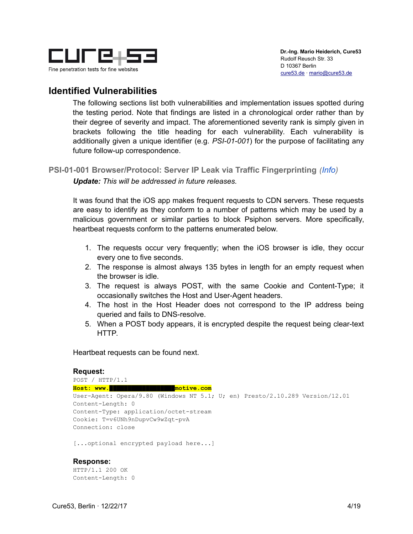

## <span id="page-3-1"></span>**Identified Vulnerabilities**

The following sections list both vulnerabilities and implementation issues spotted during the testing period. Note that findings are listed in a chronological order rather than by their degree of severity and impact. The aforementioned severity rank is simply given in brackets following the title heading for each vulnerability. Each vulnerability is additionally given a unique identifier (e.g. *PSI-01-001*) for the purpose of facilitating any future follow-up correspondence.

## <span id="page-3-0"></span>**PSI-01-001 Browser/Protocol: Server IP Leak via Traffic Fingerprinting** *(Info)*

*Update: This will be addressed in future releases.*

It was found that the iOS app makes frequent requests to CDN servers. These requests are easy to identify as they conform to a number of patterns which may be used by a malicious government or similar parties to block Psiphon servers. More specifically, heartbeat requests conform to the patterns enumerated below.

- 1. The requests occur very frequently; when the iOS browser is idle, they occur every one to five seconds.
- 2. The response is almost always 135 bytes in length for an empty request when the browser is idle.
- 3. The request is always POST, with the same Cookie and Content-Type; it occasionally switches the Host and User-Agent headers.
- 4. The host in the Host Header does not correspond to the IP address being queried and fails to DNS-resolve.
- 5. When a POST body appears, it is encrypted despite the request being clear-text HTTP.

Heartbeat requests can be found next.

```
Request:
POST / HTTP/1.1
Host: www.██████████████████motive.com
User-Agent: Opera/9.80 (Windows NT 5.1; U; en) Presto/2.10.289 Version/12.01
Content-Length: 0
Content-Type: application/octet-stream
Cookie: T=v6UNh9nDupvCw9wZqt-pvA
Connection: close
[...optional encrypted payload here...]
```
#### **Response:**

HTTP/1.1 200 OK Content-Length: 0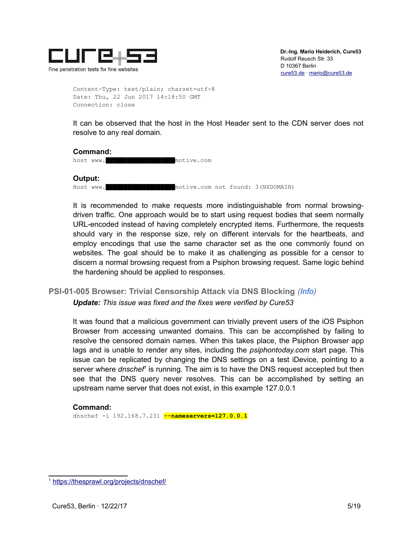

Content-Type: text/plain; charset=utf-8 Date: Thu, 22 Jun 2017 14:18:50 GMT Connection: close

It can be observed that the host in the Host Header sent to the CDN server does not resolve to any real domain.

#### **Command:**

host www.**███████████████████**motive.com

**Output:** Host www.**███████████████████**motive.com not found: 3(NXDOMAIN)

It is recommended to make requests more indistinguishable from normal browsingdriven traffic. One approach would be to start using request bodies that seem normally URL-encoded instead of having completely encrypted items. Furthermore, the requests should vary in the response size, rely on different intervals for the heartbeats, and employ encodings that use the same character set as the one commonly found on websites. The goal should be to make it as challenging as possible for a censor to discern a normal browsing request from a Psiphon browsing request. Same logic behind the hardening should be applied to responses.

## <span id="page-4-0"></span>**PSI-01-005 Browser: Trivial Censorship Attack via DNS Blocking** *(Info)*

*Update: This issue was fixed and the fixes were verified by Cure53*

It was found that a malicious government can trivially prevent users of the iOS Psiphon Browser from accessing unwanted domains. This can be accomplished by failing to resolve the censored domain names. When this takes place, the Psiphon Browser app lags and is unable to render any sites, including the *psiphontoday.com* start page. This issue can be replicated by changing the DNS settings on a test iDevice, pointing to a server where *dnschef<sup>i</sup>* is running. The aim is to have the DNS request accepted but then see that the DNS query never resolves. This can be accomplished by setting an upstream name server that does not exist, in this example 127.0.0.1

#### **Command:**

dnschef -i 192.168.7.231 **--nameservers=127.0.0.1**

<span id="page-4-1"></span><sup>1</sup> <https://thesprawl.org/projects/dnschef/>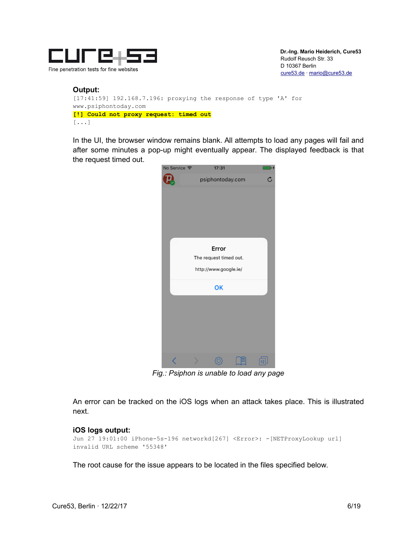

#### **Output:** [17:41:59] 192.168.7.196: proxying the response of type 'A' for www.psiphontoday.com **[!] Could not proxy request: timed out** [...]

In the UI, the browser window remains blank. All attempts to load any pages will fail and after some minutes a pop-up might eventually appear. The displayed feedback is that the request timed out.



*Fig.: Psiphon is unable to load any page*

An error can be tracked on the iOS logs when an attack takes place. This is illustrated next.

#### **iOS logs output:**

```
Jun 27 19:01:00 iPhone-5s-196 networkd[267] <Error>: -[NETProxyLookup url] 
invalid URL scheme '55348'
```
The root cause for the issue appears to be located in the files specified below.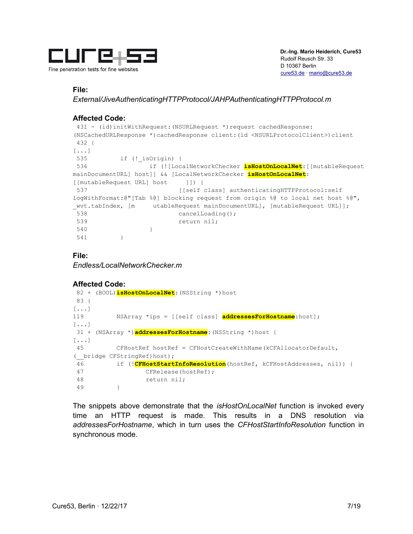

#### **File:**

*External/JiveAuthenticatingHTTPProtocol/JAHPAuthenticatingHTTPProtocol.m*

#### **Affected Code:**

```
 431 - (id)initWithRequest:(NSURLRequest *)request cachedResponse:
(NSCachedURLResponse *)cachedResponse client:(id <NSURLProtocolClient>)client
 432 {
[\ldots] 535 if (!_isOrigin) {
 536 if (![LocalNetworkChecker isHostOnLocalNet:[[mutableRequest
mainDocumentURL] host]] && [LocalNetworkChecker isHostOnLocalNet:
[[mutableRequest URL] host [1]) {
537 [[self class] authenticatingHTTPProtocol:self
logWithFormat:@"[Tab %@] blocking request from origin %@ to local net host %@", 
_wvt.tabIndex, [m utableRequest mainDocumentURL], [mutableRequest URL]];
538 cancelLoading();
 539 return nil;
 540 }
 541 }
```
#### **File:**

*Endless/LocalNetworkChecker.m*

#### **Affected Code:**

```
 82 + (BOOL)isHostOnLocalNet:(NSString *)host
 83 {
[...]
119 NSArray *ips = [[self class] addressesForHostname:host];
[\ldots] 31 + (NSArray *)addressesForHostname:(NSString *)host {
[\ldots] 45 CFHostRef hostRef = CFHostCreateWithName(kCFAllocatorDefault, 
(__bridge CFStringRef)host);
  46 if (!CFHostStartInfoResolution(hostRef, kCFHostAddresses, nil)) {
 47 CFRelease(hostRef);
 48 return nil;
 49 }
```
The snippets above demonstrate that the *isHostOnLocalNet* function is invoked every time an HTTP request is made. This results in a DNS resolution via *addressesForHostname*, which in turn uses the *CFHostStartInfoResolution* function in synchronous mode.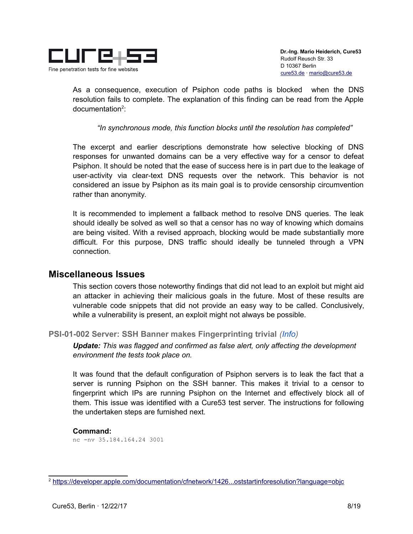

As a consequence, execution of Psiphon code paths is blocked when the DNS resolution fails to complete. The explanation of this finding can be read from the Apple documentation<sup>[2](#page-7-2)</sup>:

*"In synchronous mode, this function blocks until the resolution has completed"*

The excerpt and earlier descriptions demonstrate how selective blocking of DNS responses for unwanted domains can be a very effective way for a censor to defeat Psiphon. It should be noted that the ease of success here is in part due to the leakage of user-activity via clear-text DNS requests over the network. This behavior is not considered an issue by Psiphon as its main goal is to provide censorship circumvention rather than anonymity.

It is recommended to implement a fallback method to resolve DNS queries. The leak should ideally be solved as well so that a censor has no way of knowing which domains are being visited. With a revised approach, blocking would be made substantially more difficult. For this purpose, DNS traffic should ideally be tunneled through a VPN connection.

#### <span id="page-7-1"></span>**Miscellaneous Issues**

This section covers those noteworthy findings that did not lead to an exploit but might aid an attacker in achieving their malicious goals in the future. Most of these results are vulnerable code snippets that did not provide an easy way to be called. Conclusively, while a vulnerability is present, an exploit might not always be possible.

#### <span id="page-7-0"></span>**PSI-01-002 Server: SSH Banner makes Fingerprinting trivial** *(Info)*

*Update: This was flagged and confirmed as false alert, only affecting the development environment the tests took place on.*

It was found that the default configuration of Psiphon servers is to leak the fact that a server is running Psiphon on the SSH banner. This makes it trivial to a censor to fingerprint which IPs are running Psiphon on the Internet and effectively block all of them. This issue was identified with a Cure53 test server. The instructions for following the undertaken steps are furnished next.

#### **Command:**

nc -nv 35.184.164.24 3001

<span id="page-7-2"></span><sup>2</sup> [https://developer.apple.com/documentation/cfnetwork/1426...oststartinforesolution?language=objc](https://developer.apple.com/documentation/cfnetwork/1426672-cfhoststartinforesolution?language=objc)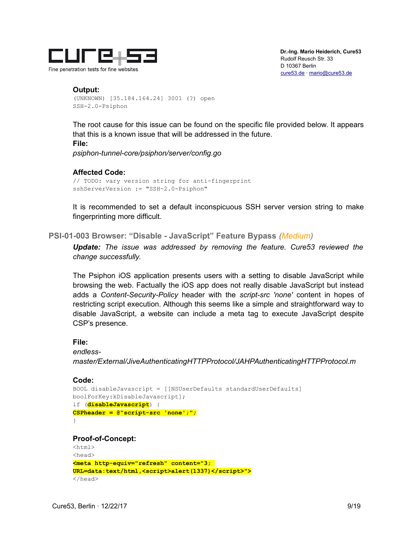

 **Dr.-Ing. Mario Heiderich, Cure53** Rudolf Reusch Str. 33 D 10367 Berlin [cure53.de](https://cure53.de/) · [mario@cure53.de](mailto:mario@cure53.de)

#### **Output:** (UNKNOWN) [35.184.164.24] 3001 (?) open SSH-2.0-Psiphon

The root cause for this issue can be found on the specific file provided below. It appears that this is a known issue that will be addressed in the future. **File:**

*psiphon-tunnel-core/psiphon/server/config.go*

#### **Affected Code:**

// TODO: vary version string for anti-fingerprint sshServerVersion := "SSH-2.0-Psiphon"

It is recommended to set a default inconspicuous SSH server version string to make fingerprinting more difficult.

#### <span id="page-8-0"></span>**PSI-01-003 Browser: "Disable - JavaScript" Feature Bypass** *(Medium)*

*Update: The issue was addressed by removing the feature. Cure53 reviewed the change successfully.*

The Psiphon iOS application presents users with a setting to disable JavaScript while browsing the web. Factually the iOS app does not really disable JavaScript but instead adds a *Content-Security-Policy* header with the *script-src 'none'* content in hopes of restricting script execution. Although this seems like a simple and straightforward way to disable JavaScript, a website can include a meta tag to execute JavaScript despite CSP's presence.

#### **File:**

*endless-*

*master/External/JiveAuthenticatingHTTPProtocol/JAHPAuthenticatingHTTPProtocol.m*

#### **Code:**

```
BOOL disableJavascript = [[NSUserDefaults standardUserDefaults]
boolForKey:kDisableJavascript];
if (disableJavascript) {
CSPheader = @"script-src 'none';";
```
}

#### **Proof-of-Concept:**

```
<html><head>
<meta http-equiv="refresh" content="3; 
URL=data:text/html,<script>alert(1337)</script>">
</head>
```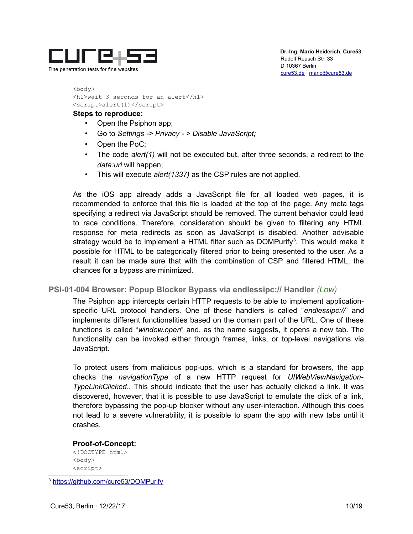

<body> <h1>wait 3 seconds for an alert</h1> <script>alert(1)</script>

#### **Steps to reproduce:**

- Open the Psiphon app;
- Go to *Settings -> Privacy > Disable JavaScript;*
- Open the PoC;
- The code *alert(1)* will not be executed but, after three seconds, a redirect to the *data:uri* will happen;
- This will execute *alert(1337)* as the CSP rules are not applied.

As the iOS app already adds a JavaScript file for all loaded web pages, it is recommended to enforce that this file is loaded at the top of the page. Any meta tags specifying a redirect via JavaScript should be removed. The current behavior could lead to race conditions. Therefore, consideration should be given to filtering any HTML response for meta redirects as soon as JavaScript is disabled. Another advisable strategy would be to implement a HTML filter such as DOMPurify<sup>[3](#page-9-1)</sup>. This would make it possible for HTML to be categorically filtered prior to being presented to the user. As a result it can be made sure that with the combination of CSP and filtered HTML, the chances for a bypass are minimized.

#### <span id="page-9-0"></span>**PSI-01-004 Browser: Popup Blocker Bypass via endlessipc:// Handler** *(Low)*

The Psiphon app intercepts certain HTTP requests to be able to implement applicationspecific URL protocol handlers. One of these handlers is called "*endlessipc://*" and implements different functionalities based on the domain part of the URL. One of these functions is called "*window.open*" and, as the name suggests, it opens a new tab. The functionality can be invoked either through frames, links, or top-level navigations via JavaScript.

To protect users from malicious pop-ups, which is a standard for browsers, the app checks the *navigationType* of a new HTTP request for *UIWebViewNavigation-TypeLinkClicked*.. This should indicate that the user has actually clicked a link. It was discovered, however, that it is possible to use JavaScript to emulate the click of a link, therefore bypassing the pop-up blocker without any user-interaction. Although this does not lead to a severe vulnerability, it is possible to spam the app with new tabs until it crashes.

#### **Proof-of-Concept:**

<!DOCTYPE html> <body> <script>

<span id="page-9-1"></span><sup>3</sup> <https://github.com/cure53/DOMPurify>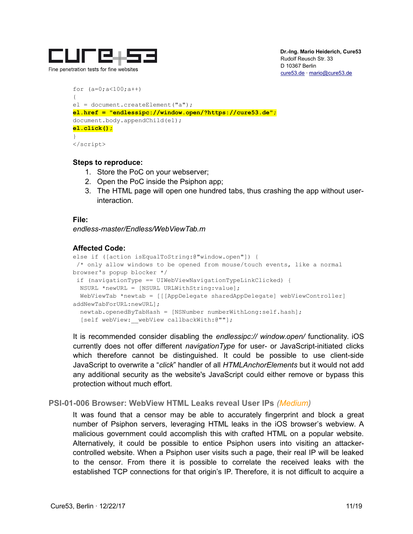

```
for (a=0; a<100; a++){
el = document.createElement("a");
el.href = "endlessipc://window.open/?https://cure53.de";
document.body.appendChild(el);
el.click();
}
</script>
```
#### **Steps to reproduce:**

- 1. Store the PoC on your webserver;
- 2. Open the PoC inside the Psiphon app;
- 3. The HTML page will open one hundred tabs, thus crashing the app without userinteraction.

#### **File:**

*endless-master/Endless/WebViewTab.m*

#### **Affected Code:**

```
else if ([action isEqualToString:@"window.open"]) {
 /* only allow windows to be opened from mouse/touch events, like a normal 
browser's popup blocker */
 if (navigationType == UIWebViewNavigationTypeLinkClicked) {
  NSURL *newURL = [NSURL URLWithString:value];
  WebViewTab *newtab = [[[AppDelegate sharedAppDelegate] webViewController] 
addNewTabForURL:newURL];
  newtab.openedByTabHash = [NSNumber numberWithLong:self.hash];
  [self webView: webView callbackWith:@""];
```
It is recommended consider disabling the *endlessipc:// window.open/* functionality. iOS currently does not offer different *navigationType* for user- or JavaScript-initiated clicks which therefore cannot be distinguished. It could be possible to use client-side JavaScript to overwrite a "*click*" handler of all *HTMLAnchorElements* but it would not add any additional security as the website's JavaScript could either remove or bypass this protection without much effort.

#### <span id="page-10-0"></span>**PSI-01-006 Browser: WebView HTML Leaks reveal User IPs** *(Medium)*

It was found that a censor may be able to accurately fingerprint and block a great number of Psiphon servers, leveraging HTML leaks in the iOS browser's webview. A malicious government could accomplish this with crafted HTML on a popular website. Alternatively, it could be possible to entice Psiphon users into visiting an attackercontrolled website. When a Psiphon user visits such a page, their real IP will be leaked to the censor. From there it is possible to correlate the received leaks with the established TCP connections for that origin's IP. Therefore, it is not difficult to acquire a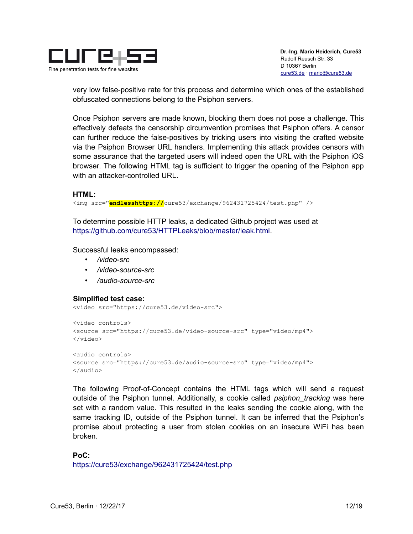

very low false-positive rate for this process and determine which ones of the established obfuscated connections belong to the Psiphon servers.

Once Psiphon servers are made known, blocking them does not pose a challenge. This effectively defeats the censorship circumvention promises that Psiphon offers. A censor can further reduce the false-positives by tricking users into visiting the crafted website via the Psiphon Browser URL handlers. Implementing this attack provides censors with some assurance that the targeted users will indeed open the URL with the Psiphon iOS browser. The following HTML tag is sufficient to trigger the opening of the Psiphon app with an attacker-controlled URL.

#### **HTML:**

<img src="**endlesshttps://**cure53/exchange/962431725424/test.php" />

To determine possible HTTP leaks, a dedicated Github project was used at [https://github.com/cure53/HTTPLeaks/blob/master/leak.html.](https://github.com/cure53/HTTPLeaks/blob/master/leak.html)

Successful leaks encompassed:

- */video-src*
- */video-source-src*
- */audio-source-src*

#### **Simplified test case:**

<video src="https://cure53.de/video-src">

```
<video controls>
<source src="https://cure53.de/video-source-src" type="video/mp4">
</video>
```

```
<audio controls>
<source src="https://cure53.de/audio-source-src" type="video/mp4">
</audio>
```
The following Proof-of-Concept contains the HTML tags which will send a request outside of the Psiphon tunnel. Additionally, a cookie called *psiphon\_tracking* was here set with a random value. This resulted in the leaks sending the cookie along, with the same tracking ID, outside of the Psiphon tunnel. It can be inferred that the Psiphon's promise about protecting a user from stolen cookies on an insecure WiFi has been broken.

**PoC:** <https://cure53/exchange/962431725424/test.php>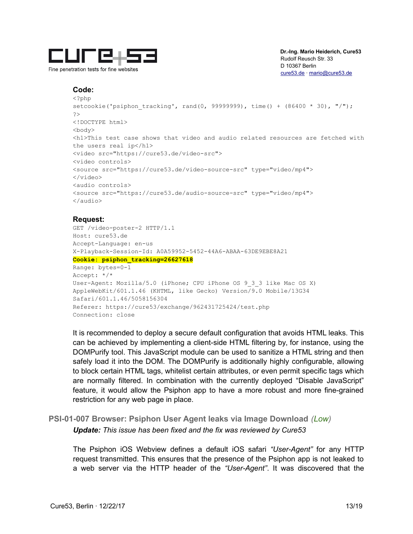

 **Dr.-Ing. Mario Heiderich, Cure53** Rudolf Reusch Str. 33 D 10367 Berlin [cure53.de](https://cure53.de/) · [mario@cure53.de](mailto:mario@cure53.de)

#### **Code:**

```
<?php
setcookie('psiphon tracking', rand(0, 99999999), time() + (86400 * 30), "/");
?>
<!DOCTYPE html>
<body>
<h1>This test case shows that video and audio related resources are fetched with
the users real ip</h1>
<video src="https://cure53.de/video-src">
<video controls>
<source src="https://cure53.de/video-source-src" type="video/mp4">
</video>
<audio controls>
<source src="https://cure53.de/audio-source-src" type="video/mp4">
</audio>
```
#### **Request:**

```
GET /video-poster-2 HTTP/1.1
Host: cure53.de
Accept-Language: en-us
X-Playback-Session-Id: A0A59952-5452-44A6-ABAA-63DE9EBE8A21
Cookie: psiphon_tracking=26627618
Range: bytes=0-1
Accept: */*
User-Agent: Mozilla/5.0 (iPhone; CPU iPhone OS 9_3_3 like Mac OS X) 
AppleWebKit/601.1.46 (KHTML, like Gecko) Version/9.0 Mobile/13G34 
Safari/601.1.46/5058156304
Referer: https://cure53/exchange/962431725424/test.php
Connection: close
```
It is recommended to deploy a secure default configuration that avoids HTML leaks. This can be achieved by implementing a client-side HTML filtering by, for instance, using the DOMPurify tool. This JavaScript module can be used to sanitize a HTML string and then safely load it into the DOM. The DOMPurify is additionally highly configurable, allowing to block certain HTML tags, whitelist certain attributes, or even permit specific tags which are normally filtered. In combination with the currently deployed "Disable JavaScript" feature, it would allow the Psiphon app to have a more robust and more fine-grained restriction for any web page in place.

#### <span id="page-12-0"></span>**PSI-01-007 Browser: Psiphon User Agent leaks via Image Download** *(Low) Update: This issue has been fixed and the fix was reviewed by Cure53*

The Psiphon iOS Webview defines a default iOS safari *"User-Agent"* for any HTTP request transmitted. This ensures that the presence of the Psiphon app is not leaked to a web server via the HTTP header of the *"User-Agent"*. It was discovered that the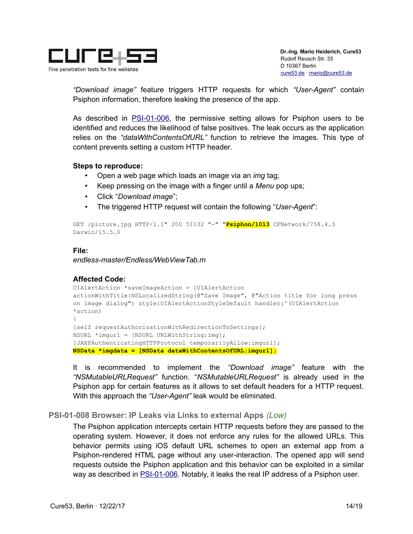

*"Download image"* feature triggers HTTP requests for which *"User-Agent"* contain Psiphon information, therefore leaking the presence of the app.

As described in [PSI-01-006,](#page-10-0) the permissive setting allows for Psiphon users to be identified and reduces the likelihood of false positives. The leak occurs as the application relies on the *"dataWithContentsOfURL"* function to retrieve the images. This type of content prevents setting a custom HTTP header.

#### **Steps to reproduce:**

- Open a web page which loads an image via an *img* tag;
- Keep pressing on the image with a finger until a *Menu* pop ups;
- Click "*Download image*";
- The triggered HTTP request will contain the following "*User-Agent*":

```
GET /picture.jpg HTTP/1.1" 200 51132 "-" "Psiphon/1013 CFNetwork/758.4.3 
Darwin/15.5.0
```
#### **File:**

*endless-master/Endless/WebViewTab.m*

#### **Affected Code:**

```
UIAlertAction *saveImageAction = [UIAlertAction 
actionWithTitle:NSLocalizedString(@"Save Image", @"Action title for long press 
on image dialog") style:UIAlertActionStyleDefault handler:^(UIAlertAction 
*action)
{
[self requestAuthorizationWithRedirectionToSettings];
NSURL *imgurl = [NSURL URLWithString:img];
[JAHPAuthenticatingHTTPProtocol temporarilyAllow:imgurl];
NSData *imgdata = [NSData dataWithContentsOfURL:imgurl];
```
It is recommended to implement the *"Download image"* feature with the *"NSMutableURLRequest"* function. "*NSMutableURLRequest"* is already used in the Psiphon app for certain features as it allows to set default headers for a HTTP request. With this approach the *"User-Agent"* leak would be eliminated.

#### <span id="page-13-0"></span>**PSI-01-008 Browser: IP Leaks via Links to external Apps** *(Low)*

The Psiphon application intercepts certain HTTP requests before they are passed to the operating system. However, it does not enforce any rules for the allowed URLs. This behavior permits using iOS default URL schemes to open an external app from a Psiphon-rendered HTML page without any user-interaction. The opened app will send requests outside the Psiphon application and this behavior can be exploited in a similar way as described in **PSI-01-006**. Notably, it leaks the real IP address of a Psiphon user.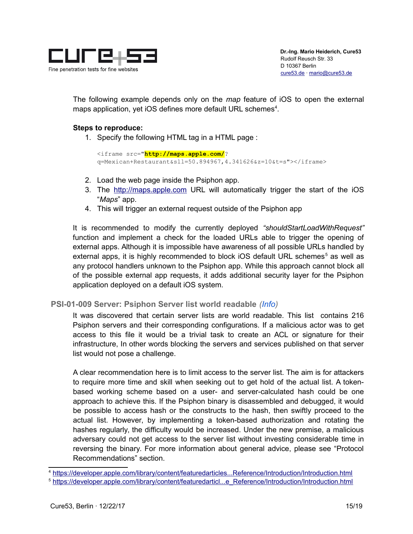

The following example depends only on the *map* feature of iOS to open the external maps application, yet iOS defines more default URL schemes<sup>[4](#page-14-1)</sup>.

#### **Steps to reproduce:**

1. Specify the following HTML tag in a HTML page :

```
<iframe src="http://maps.apple.com/?
q=Mexican+Restaurant&sll=50.894967,4.341626&z=10&t=s"></iframe>
```
- 2. Load the web page inside the Psiphon app.
- 3. The [http://maps.apple.com](http://maps.apple.com/) URL will automatically trigger the start of the iOS "*Maps*" app.
- 4. This will trigger an external request outside of the Psiphon app

It is recommended to modify the currently deployed *"shouldStartLoadWithRequest"* function and implement a check for the loaded URLs able to trigger the opening of external apps. Although it is impossible have awareness of all possible URLs handled by external apps, it is highly recommended to block iOS default URL schemes<sup>[5](#page-14-2)</sup> as well as any protocol handlers unknown to the Psiphon app. While this approach cannot block all of the possible external app requests, it adds additional security layer for the Psiphon application deployed on a default iOS system.

#### <span id="page-14-0"></span> **PSI-01-009 Server: Psiphon Server list world readable** *(Info)*

It was discovered that certain server lists are world readable. This list contains 216 Psiphon servers and their corresponding configurations. If a malicious actor was to get access to this file it would be a trivial task to create an ACL or signature for their infrastructure, In other words blocking the servers and services published on that server list would not pose a challenge.

A clear recommendation here is to limit access to the server list. The aim is for attackers to require more time and skill when seeking out to get hold of the actual list. A tokenbased working scheme based on a user- and server-calculated hash could be one approach to achieve this. If the Psiphon binary is disassembled and debugged, it would be possible to access hash or the constructs to the hash, then swiftly proceed to the actual list. However, by implementing a token-based authorization and rotating the hashes regularly, the difficulty would be increased. Under the new premise, a malicious adversary could not get access to the server list without investing considerable time in reversing the binary. For more information about general advice, please see "Protocol Recommendations" section.

<span id="page-14-1"></span><sup>4</sup> [https://developer.apple.com/library/content/featuredarticles...Reference/Introduction/Introduction.html](https://developer.apple.com/library/content/featuredarticles/iPhoneURLScheme_Reference/Introduction/Introduction.html)

<span id="page-14-2"></span><sup>5</sup> [https://developer.apple.com/library/content/featuredarticl...e\\_Reference/Introduction/Introduction.html](https://developer.apple.com/library/content/featuredarticles/iPhoneURLScheme_Reference/Introduction/Introduction.html)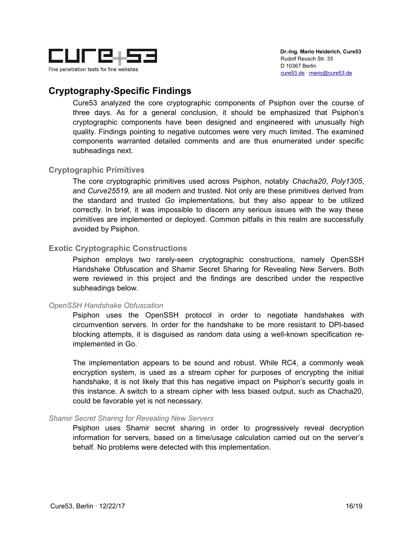

## <span id="page-15-4"></span>**Cryptography-Specific Findings**

Cure53 analyzed the core cryptographic components of Psiphon over the course of three days. As for a general conclusion, it should be emphasized that Psiphon's cryptographic components have been designed and engineered with unusually high quality. Findings pointing to negative outcomes were very much limited. The examined components warranted detailed comments and are thus enumerated under specific subheadings next.

#### <span id="page-15-3"></span>**Cryptographic Primitives**

The core cryptographic primitives used across Psiphon, notably *Chacha20*, *Poly1305*, and *Curve25519,* are all modern and trusted. Not only are these primitives derived from the standard and trusted *Go* implementations, but they also appear to be utilized correctly. In brief, it was impossible to discern any serious issues with the way these primitives are implemented or deployed. Common pitfalls in this realm are successfully avoided by Psiphon.

#### <span id="page-15-2"></span>**Exotic Cryptographic Constructions**

Psiphon employs two rarely-seen cryptographic constructions, namely OpenSSH Handshake Obfuscation and Shamir Secret Sharing for Revealing New Servers. Both were reviewed in this project and the findings are described under the respective subheadings below.

#### <span id="page-15-1"></span>*OpenSSH Handshake Obfuscation*

Psiphon uses the OpenSSH protocol in order to negotiate handshakes with circumvention servers. In order for the handshake to be more resistant to DPI-based blocking attempts, it is disguised as random data using a well-known specification reimplemented in Go.

The implementation appears to be sound and robust. While RC4, a commonly weak encryption system, is used as a stream cipher for purposes of encrypting the initial handshake, it is not likely that this has negative impact on Psiphon's security goals in this instance. A switch to a stream cipher with less biased output, such as Chacha20, could be favorable yet is not necessary.

#### <span id="page-15-0"></span>*Shamir Secret Sharing for Revealing New Servers*

Psiphon uses Shamir secret sharing in order to progressively reveal decryption information for servers, based on a time/usage calculation carried out on the server's behalf. No problems were detected with this implementation.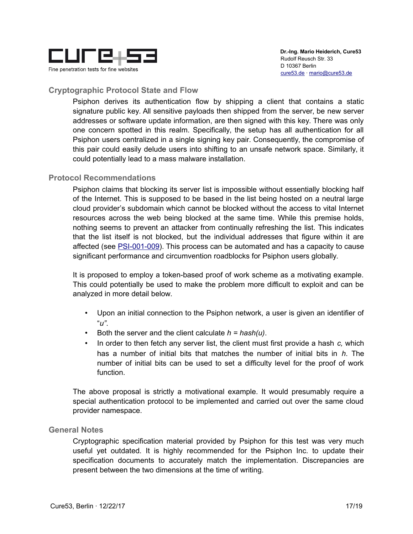

### <span id="page-16-2"></span>**Cryptographic Protocol State and Flow**

Psiphon derives its authentication flow by shipping a client that contains a static signature public key. All sensitive payloads then shipped from the server, be new server addresses or software update information, are then signed with this key. There was only one concern spotted in this realm. Specifically, the setup has all authentication for all Psiphon users centralized in a single signing key pair. Consequently, the compromise of this pair could easily delude users into shifting to an unsafe network space. Similarly, it could potentially lead to a mass malware installation.

#### <span id="page-16-1"></span>**Protocol Recommendations**

Psiphon claims that blocking its server list is impossible without essentially blocking half of the Internet. This is supposed to be based in the list being hosted on a neutral large cloud provider's subdomain which cannot be blocked without the access to vital Internet resources across the web being blocked at the same time. While this premise holds, nothing seems to prevent an attacker from continually refreshing the list. This indicates that the list itself is not blocked, but the individual addresses that figure within it are affected (see [PSI-001-009\)](#page-14-0). This process can be automated and has a capacity to cause significant performance and circumvention roadblocks for Psiphon users globally.

It is proposed to employ a token-based proof of work scheme as a motivating example. This could potentially be used to make the problem more difficult to exploit and can be analyzed in more detail below.

- Upon an initial connection to the Psiphon network, a user is given an identifier of "*u"*.
- Both the server and the client calculate *h = hash(u)*.
- In order to then fetch any server list, the client must first provide a hash *c,* which has a number of initial bits that matches the number of initial bits in *h*. The number of initial bits can be used to set a difficulty level for the proof of work function.

The above proposal is strictly a motivational example. It would presumably require a special authentication protocol to be implemented and carried out over the same cloud provider namespace.

#### <span id="page-16-0"></span>**General Notes**

Cryptographic specification material provided by Psiphon for this test was very much useful yet outdated. It is highly recommended for the Psiphon Inc. to update their specification documents to accurately match the implementation. Discrepancies are present between the two dimensions at the time of writing.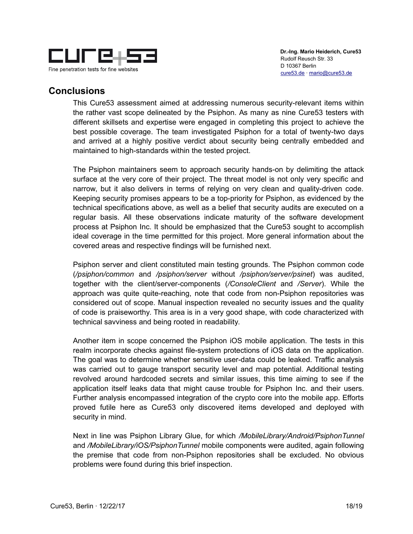

## <span id="page-17-0"></span>**Conclusions**

This Cure53 assessment aimed at addressing numerous security-relevant items within the rather vast scope delineated by the Psiphon. As many as nine Cure53 testers with different skillsets and expertise were engaged in completing this project to achieve the best possible coverage. The team investigated Psiphon for a total of twenty-two days and arrived at a highly positive verdict about security being centrally embedded and maintained to high-standards within the tested project.

The Psiphon maintainers seem to approach security hands-on by delimiting the attack surface at the very core of their project. The threat model is not only very specific and narrow, but it also delivers in terms of relying on very clean and quality-driven code. Keeping security promises appears to be a top-priority for Psiphon, as evidenced by the technical specifications above, as well as a belief that security audits are executed on a regular basis. All these observations indicate maturity of the software development process at Psiphon Inc. It should be emphasized that the Cure53 sought to accomplish ideal coverage in the time permitted for this project. More general information about the covered areas and respective findings will be furnished next.

Psiphon server and client constituted main testing grounds. The Psiphon common code (*/psiphon/common* and */psiphon/server* without */psiphon/server/psinet*) was audited, together with the client/server-components (*/ConsoleClient* and */Server*). While the approach was quite quite-reaching, note that code from non-Psiphon repositories was considered out of scope. Manual inspection revealed no security issues and the quality of code is praiseworthy. This area is in a very good shape, with code characterized with technical savviness and being rooted in readability.

Another item in scope concerned the Psiphon iOS mobile application. The tests in this realm incorporate checks against file-system protections of iOS data on the application. The goal was to determine whether sensitive user-data could be leaked. Traffic analysis was carried out to gauge transport security level and map potential. Additional testing revolved around hardcoded secrets and similar issues, this time aiming to see if the application itself leaks data that might cause trouble for Psiphon Inc. and their users. Further analysis encompassed integration of the crypto core into the mobile app. Efforts proved futile here as Cure53 only discovered items developed and deployed with security in mind.

Next in line was Psiphon Library Glue, for which */MobileLibrary/Android/PsiphonTunnel* and */MobileLibrary/iOS/PsiphonTunnel* mobile components were audited, again following the premise that code from non-Psiphon repositories shall be excluded. No obvious problems were found during this brief inspection.